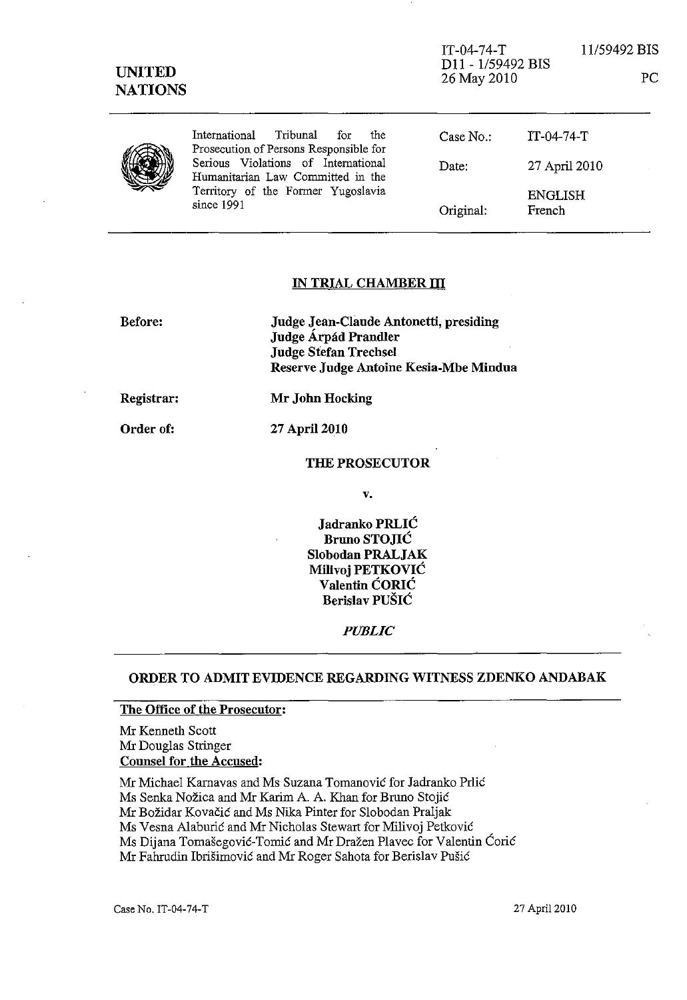| <b>UNITED</b><br><b>NATIONS</b> |                                                                                                                              | $IT-04-74-T$<br>D <sub>11</sub> - 1/59492 BIS<br>26 May 2010 |                          | 11/59492 BIS<br>PC |
|---------------------------------|------------------------------------------------------------------------------------------------------------------------------|--------------------------------------------------------------|--------------------------|--------------------|
|                                 | Tribunal<br>International<br>for<br>the<br>Prosecution of Persons Responsible for                                            | Case No.                                                     | $IT-04-74-T$             |                    |
|                                 | Serious Violations of International<br>Humanitarian Law Committed in the<br>Territory of the Former Yugoslavia<br>since 1991 | Date:                                                        | 27 April 2010            |                    |
|                                 |                                                                                                                              | Original:                                                    | <b>ENGLISH</b><br>French |                    |

# IN TRIAL CHAMBER **ill**

| Before: | Judge Jean-Claude Antonetti, presiding |
|---------|----------------------------------------|
|         | Judge Árpád Prandler                   |
|         | <b>Judge Stefan Trechsel</b>           |
|         | Reserve Judge Antoine Kesia-Mbe Mindua |
|         |                                        |

Registrar: Mr John Hocking

Order of:

27 April 2010

#### THE PROSECUTOR

v.

Jadranko PRLIC Bruno STOJIĆ Slobodan PRALJAK Milivoj PETKOVIC Valentin CORIC Berislav PUSIC

*PUBLIC* 

# ORDER TO ADMIT EVIDENCE REGARDING WITNESS ZDENKO ANDABAK

#### The Office of the Prosecutor:

Mr Kenneth Scott Mr Douglas Stringer Counsel for the Accused:

Mr Michael Karnavas and Ms Suzana Tomanović for Jadranko Prlić

Ms Senka Nožica and Mr Karim A. A. Khan for Bruno Stojić

Mr Božidar Kovačić and Ms Nika Pinter for Slobodan Praljak

Ms Vesna Alaburić and Mr Nicholas Stewart for Milivoj Petković

Ms Dijana Tomašegović-Tomić and Mr Dražen Plavec for Valentin Ćorić

Mr Fahrudin Ibrišimović and Mr Roger Sahota for Berislav Pušić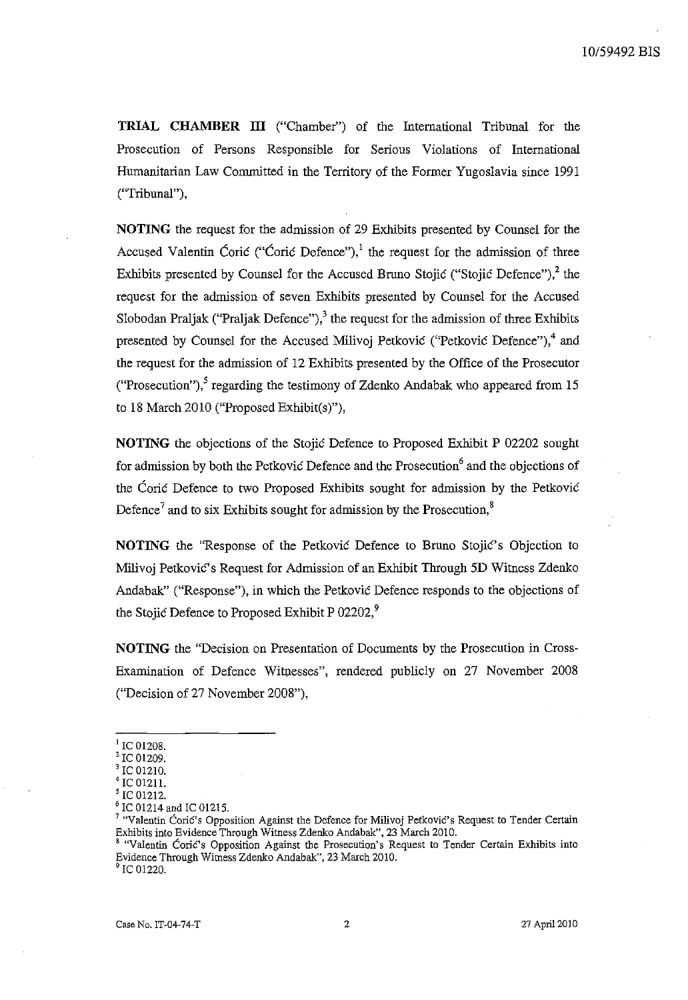**TRIAL CHAMBER III** ("Chamber") of the International Tribunal for the Prosecution of Persons Responsible for Serious Violations of International Humanitarian Law Committed in the Territory of the Former Yugoslavia since 1991 ("Tribunal"),

**NOTING** the request for the admission of 29 Exhibits presented by Counsel for the Accused Valentin Coric ("Coric Defence"),<sup>1</sup> the request for the admission of three Exhibits presented by Counsel for the Accused Bruno Stojić ("Stojić Defence"), $^2$  the request for the admission of seven Exhibits presented by Counsel for the Accused Slobodan Praljak ("Praljak Defence"),<sup>3</sup> the request for the admission of three Exhibits presented by Counsel for the Accused Milivoj Petković ("Petković Defence"), $4$  and the request for the admission of 12 Exhibits presented by the Office of the Prosecutor ("Prosecution"),<sup>5</sup> regarding the testimony of Zdenko Andabak who appeared from 15 to 18 March 2010 ("Proposed Exhibit(s)"),

**NOTING** the objections of the Stojie Defence to Proposed Exhibit P 02202 sought for admission by both the Petkovic Defence and the Prosecution<sup>6</sup> and the objections of the Corie Defence to two Proposed Exhibits sought for admission by the Petkovie Defence<sup>7</sup> and to six Exhibits sought for admission by the Prosecution, $\frac{8}{3}$ 

**NOTING** the "Response of the Petkovic Defence to Bruno Stojic's Objection to Milivoj Petković's Request for Admission of an Exhibit Through 5D Witness Zdenko Andabak" ("Response"), in which the Petković Defence responds to the objections of the Stojic Defence to Proposed Exhibit P 02202,<sup>9</sup>

**NOTING** the "Decision on Presentation of Documents by the Prosecution in Cross-Examination of Defence Witnesses", rendered publicly on 27 November 2008 ("Decision of 27 November 2008"),

<sup>9</sup> IC 01220.

IC 01208.

IC 01209.

IC 01210.

IC 01211.

IC 01212.

IC 01214 and IC 01215.

<sup>&</sup>lt;sup>7</sup> "Valentin Corić's Opposition Against the Defence for Milivoj Petković's Request to Tender Certain Exhibits into Evidence Through Witness Zdenko Andabak", 23 March 2010.

**B "Valentin Corie's Opposition Against the Prosecution's Request to Tender Certain Exhibits into**  Evidence Through Witness Zdenko Andabak", 23 March 2010.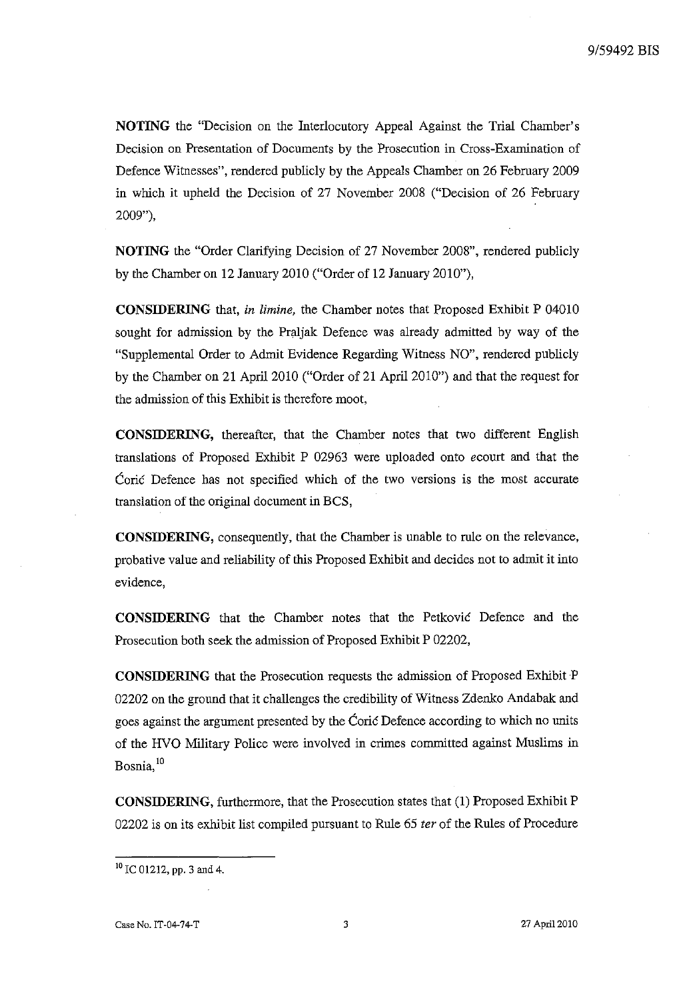**NOTING** the "Decision on the Interlocutory Appeal Against the Trial Chamber's Decision on Presentation of Documents by the Prosecution in Cross-Examination of Defence Witnesses", rendered publicly by the Appeals Chamber on 26 February 2009 in which it upheld the Decision of 27 November 2008 ("Decision of 26 February 2009"),

**NOTING** the "Order Clarifying Decision of 27 November 2008", rendered publicly by the Chamber on 12 January 2010 ("Order of 12 January 2010"),

**CONSIDERING** that, *in limine,* the Chamber notes that Proposed Exhibit P 04010 sought for admission by the Praljak Defence was already admitted by way of the "Supplemental Order to Admit Evidence Regarding Witness NO", rendered publicly by the Chamber on 21 April 2010 ("Order of 21 April 2010") and that the request for the admission of this Exhibit is therefore moot,

**CONSIDERING,** thereafter, that the Chamber notes that two different English translations of Proposed Exhibit P 02963 were uploaded onto *ecourt* and that the Corie Defence has not specified which of the two versions is the most accurate translation of the original document in BCS,

**CONSIDERING,** consequently, that the Chamber is unable to rule on the relevance, probative value and reliability of this Proposed Exhibit and decides not to admit it into evidence,

**CONSIDERING** that the Chamber notes that the Petkovie Defence and the Prosecution both seek the admission of Proposed Exhibit P 02202,

**CONSIDERING** that the Prosecution requests the admission of Proposed Exhibit P 02202 on the ground that it challenges the credibility of Witness Zdenko Andabak and goes against the argument presented by the Corie Defence according to which no units of the HVO Military Police were involved in crimes committed against Muslims in Bosnia.<sup>10</sup>

**CONSIDERING,** furthermore, that the Prosecution states that (1) Proposed Exhibit P 02202 is on its exhibit list compiled pursuant to Rule 65 *ter* of the Rules of Procedure

<sup>&</sup>lt;sup>10</sup> IC 01212, pp. 3 and 4.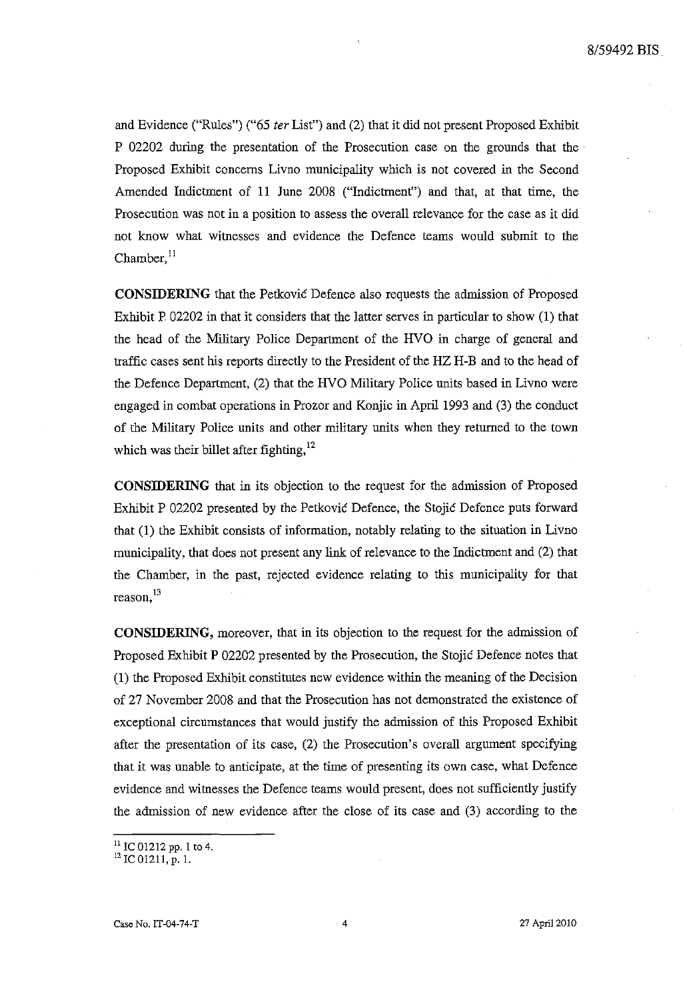and Evidence ("Rules") ("65 *ter* List") and (2) that it did not present Proposed Exhibit P 02202 during the presentation of the Prosecution case on the grounds that the Proposed Exhibit concerns Livno municipality which is not covered in the Second Amended Indictment of 11 June 2008 ("Indictment") and that, at that time, the Prosecution was not in a position to assess the overall relevance for the case as it did not know what witnesses and evidence the Defence teams would submit to the Chamber,<sup>11</sup>

**CONSIDERING** that the Petkovic Defence also requests the admission of Proposed Exhibit P 02202 in that it considers that the latter serves in particular to show (1) that the head of the Military Police Department of the HVO in charge of general and traffic cases sent his reports directly to the President of the HZ H-B and to the head of the Defence Department, (2) that the HVO Military Police units based in Livno were engaged in combat operations in Prozor and Konjic in April 1993 and (3) the conduct of the Military Police units and other military units when they retnrned to the town which was their billet after fighting,<sup>12</sup>

**CONSIDERING** that in its objection to the request for the admission of Proposed Exhibit P 02202 presented by the Petkovic Defence, the Stojic Defence puts forward that (1) the Exhibit consists of information, notably relating to the situation in Livno municipality, that does not present any link of relevance to the Indictment and (2) that the Chamber, in the past, rejected evidence relating to this municipality for that **reason,13** 

**CONSIDERING,** moreover, that in its objection to the request for the admission of Proposed Exhibit P 02202 presented by the Prosecution, the Stojic Defence notes that (1) the Proposed Exhibit constitutes new evidence within the meaning of the Decision of 27 November 2008 and that the Prosecution has not demonstrated the existence of exceptional circumstances that would justify the admission of this Proposed Exhibit after the presentation of its case, (2) the Prosecution's overall argument specifying that it was unable to anticipate, at the time of presenting its own case, what Defence evidence and witnesses the Defence teams would present, does not sufficiently justify the admission of new evidence after the close of its case and (3) according to the

 $11$  IC 01212 pp. 1 to 4.

 $12$  IC 01211, p. 1.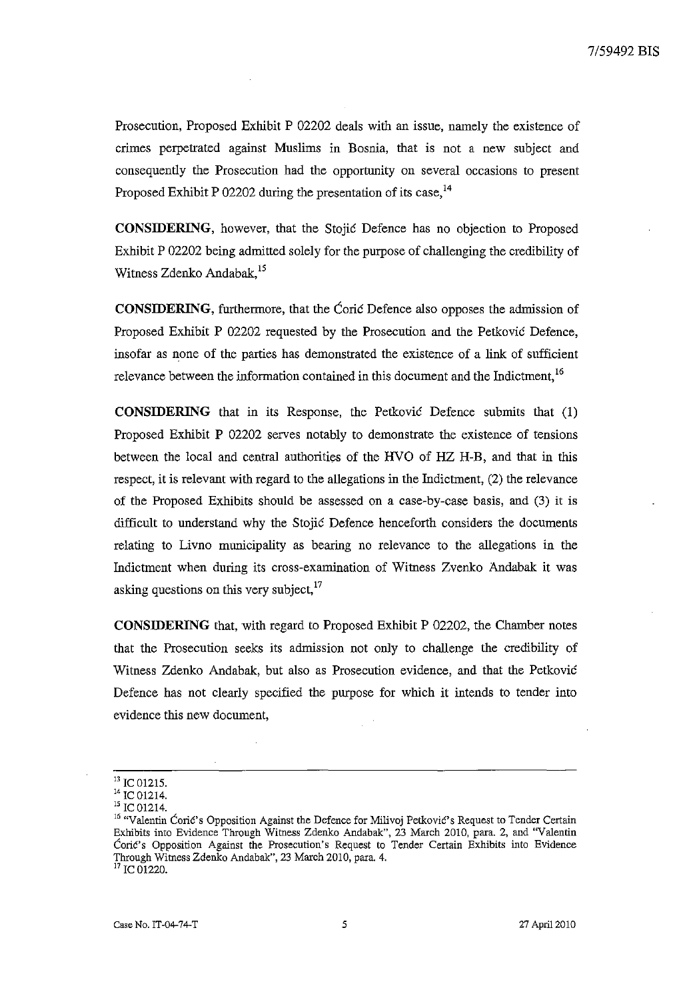Prosecutiou, Proposed Exhibit P 02202 deals with an issue, namely the existence of crimes perpetrated against Muslims in Bosnia, that is not a new subject and consequently the Prosecution had the opportunity on several occasions to present Proposed Exhibit P 02202 during the presentation of its case,  $^{14}$ 

**CONSIDERING,** however, that the Stojie Defence has no objection to Proposed Exhibit P 02202 being admitted solely for the purpose of challenging the credibility of Witness Zdenko Andabak, <sup>15</sup>

**CONSIDERING,** furthermore, that the Corie Defence also opposes the admission of Proposed Exhibit P 02202 requested by the Prosecution and the Petkovic Defence, insofar as none of the parties has demonstrated the existence of a link of sufficieut relevance between the information contained in this document and the Indictment, <sup>16</sup>

**CONSIDERING** that in its Response, the Petkovie Defence submits that (1) Proposed Exhibit P 02202 serves notably to demonstrate the existence of tensions between the local and central authorities of the HVO of HZ H-B, and that in this respect, it is relevant with regard to the allegations in the Indictment, (2) the relevance of the Proposed Exhibits should be assessed on a case-by-case basis, and (3) it is difficult to understand why the Stojic Defence henceforth considers the documents relating to Livno municipality as bearing no relevance to the allegations in the Indictment when during its cross-examination of Witness Zvenko Andabak it was asking questions on this very subject, $^{17}$ 

**CONSIDERING** that, with regard to Proposed Exhibit P 02202, the Chamber notes that the Prosecution seeks its admission not only to challenge the credibility of Witness Zdenko Andabak, but also as Prosecution evidence, and that the Petkovie Defence has not clearly specified the purpose for which it intends to tender into evidence this new document,

 $^{13}$  IC 01215.

<sup>&</sup>lt;sup>14</sup> IC 01214.

<sup>&</sup>lt;sup>15</sup> IC 01214.

<sup>&</sup>lt;sup>16</sup> "Valentin Ćorić's Opposition Against the Defence for Milivoj Petković's Request to Tender Certain Exhibits into Evidence Through Witness Zdenko Andabak", 23 March 2010, para. 2, and "Valentin **Coric's Opposition Against the Prosecution's Request to Tender Certain Exhibits into Evidence**  Through Witness Zdenko Andabak", 23 March 2010, para. 4. <sup>17</sup> IC 01220.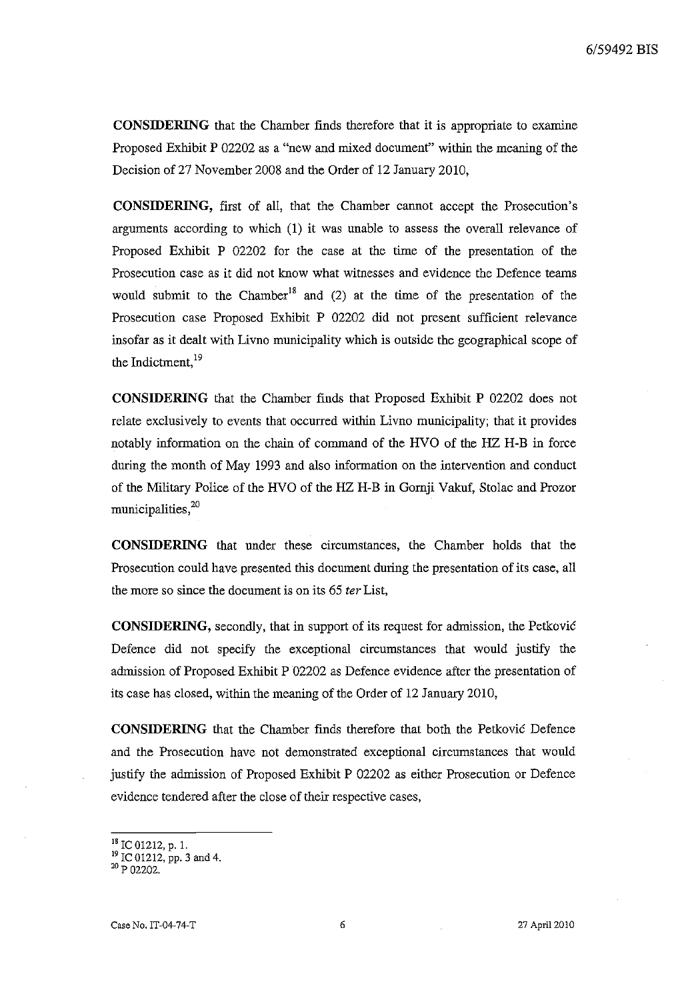6/59492 BIS

**CONSIDERING** that the Chamber finds therefore that it is appropriate to examine Proposed Exhibit P 02202 as a "new and mixed document" within the meaning of the Decision of 27 November 2008 and the Order of 12 January 2010,

**CONSIDERING,** first of all, that the Chamber cannot accept the Prosecution's arguments according to which (1) it was unable to assess the overall relevance of Proposed Exhibit P 02202 for the case at the time of the presentation of the Prosecution case as it did not know what witnesses and evidence the Defence teams would submit to the Chamber<sup>18</sup> and  $(2)$  at the time of the presentation of the Prosecution case Proposed Exhibit P 02202 did not present sufficient relevance insofar as it dealt with Livno municipality which is outside the geographical scope of the Indictment, 19

**CONSIDERING** that the Chamber finds that Proposed Exhibit P 02202 does not relate exclusively to events that occurred within Livno municipality; that it provides notably information on the chain of command of the HVO of the HZ H-B in force during the month of May 1993 and also information on the intervention and conduct of the Military Police of the HVO of the HZ H-B in Gornji Vakuf, Stolac and Prozor municipalities, $20$ 

**CONSIDERING** that under these circumstances, the Chamber holds that the Prosecution could have presented this document during the presentation of its case, all the more so since the document is on its 65 *ter* List,

**CONSIDERING,** secondly, that in support of its request for admission, the Petkovic Defence did not specify the exceptional circumstances that would justify the admission of Proposed Exhibit P 02202 as Defence evidence after the presentation of its case has closed, within the meaning of the Order of 12 January 2010,

**CONSIDERING** that the Chamber finds therefore that both the Petkovic Defence and the Prosecution have not demonstrated exceptional circumstances that would justify the admission of Proposed Exhibit P 02202 as either Prosecution or Defence evidence tendered after the close of their respective cases,

<sup>18</sup> IC 01212, p. 1.

<sup>19</sup> IC 01212, pp. 3 and 4.

<sup>20</sup> P 02202.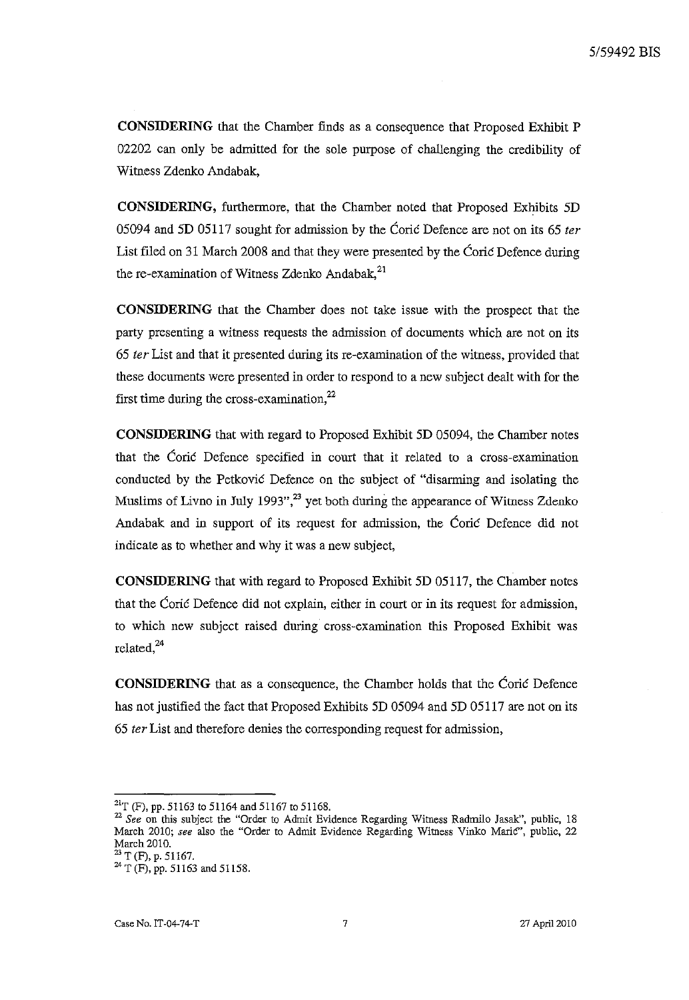**CONSIDERING** that the Chamber finds as a conseqnence that Proposed Exhibit P 02202 can only be admitted for the sole purpose of challenging the credibility of Witness Zdenko Andabak,

**CONSIDERING,** furthermore, that the Chamber noted that Proposed Exhibits 5D 05094 and 5D 05117 sought for admission by the Corie Defence are not on its 65 *ter*  List filed on 31 March 2008 and that they were presented by the Corie Defence during the re-examination of Witness Zdenko Andabak, $^{21}$ 

**CONSIDERING** that the Chamber does not take issue with the prospect that the party presenting a witness requests the admission of documents which are not on its *65 ter* List and that it presented during its re-examination of the witness, provided that these documents were presented in order to respond to a new subject dealt with for the first time during the cross-examination, $^{22}$ 

**CONSIDERING** that with regard to Proposed Exhibit 5D 05094, the Chamber notes that the Corie Defence specified in court that it related to a cross-examination conducted by the Petković Defence on the subject of "disarming and isolating the Muslims of Livno in July 1993", $^{23}$  yet both during the appearance of Witness Zdenko Andabak and in support of its request for admission, the Corie Defence did not indicate as to whether and why it was a new subject,

**CONSIDERING** that with regard to Proposed Exhibit 5D 05117, the Chamber notes that the Corie Defence did not explain, either in court or in its request for admission, to which new subject raised during cross-examination this Proposed Exhibit was related,<sup>24</sup>

**CONSIDERING** that as a consequence, the Chamber holds that the Corie Defence has not justified the fact that Proposed Exhibits 5D 05094 and 5D 05117 are not on its *65 ter* List and therefore denies the corresponding request for admission,

 $^{21}$ T (F), pp. 51163 to 51164 and 51167 to 51168.

<sup>&</sup>lt;sup>22</sup> See on this subject the "Order to Admit Evidence Regarding Witness Radmilo Jasak", public, 18 March 2010; *see* also the "Order to Admit Evidence Regarding Witness Vinko MariC", public, 22 March 2010.

 $23$  T (F), p. 51167.

<sup>24</sup> T (F), pp. 51163 and 51158.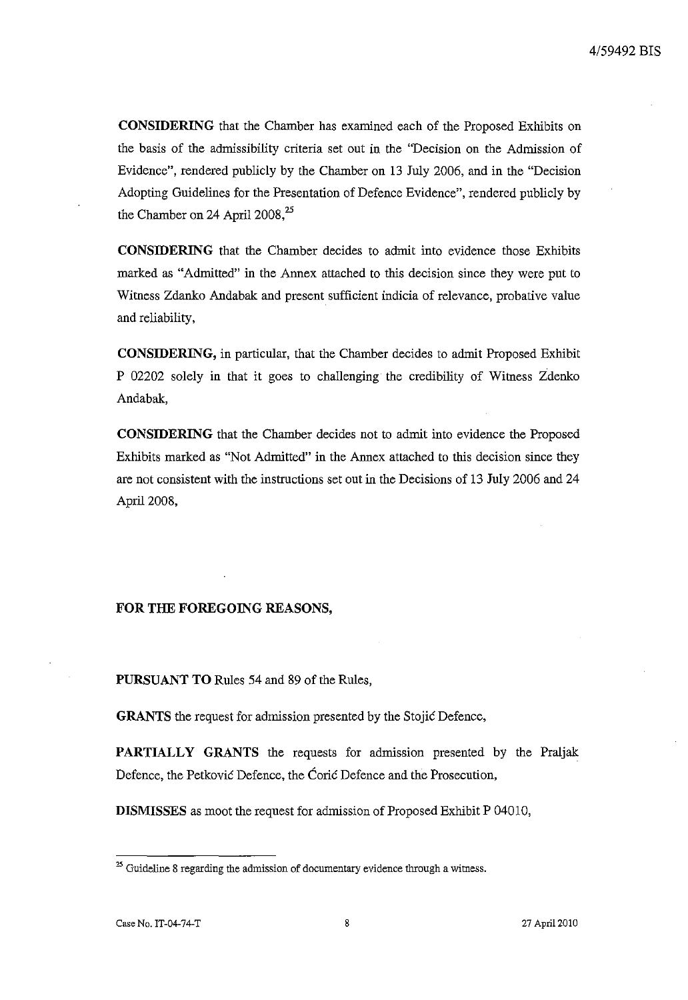**CONSIDERING** that the Chamber has examined each of the Proposed Exhibits on the basis of the admissibility criteria set out in the "Decision on the Admission of Evidence", rendered publicly by the Chamber on 13 July 2006, and in the "Decision Adopting Guidelines for the Presentation of Defence Evidence", rendered publicly by the Chamber on 24 April  $2008<sup>25</sup>$ 

**CONSIDERING** that the Chamber decides to admit into evidence those Exhibits marked as "Admitted" in the Annex attached to this decision since they were put to Witness Zdanko Andabak and present sufficient indicia of relevance, probative value and reliability,

**CONSIDERING,** in particular, that the Chamber decides to admit Proposed Exhibit P 02202 solely in that it goes to challenging the credibility of Witness Zdenko Andabak,

**CONSIDERING** that the Chamber decides not to admit into evidence the Proposed Exhibits marked as "Not Admitted" in the Annex attached to this decision since they are not consistent with the instructions set out in the Decisions of 13 July 2006 and 24 April 2008,

### **FOR THE FOREGOING REASONS,**

**PURSUANT TO** Rules 54 and 89 of the Rules,

**GRANTS** the request for admission presented by the Stojie Defence,

**PARTIALLY GRANTS** the requests for admission presented by the Praljak Defence, the Petkovic Defence, the Corie Defence and the Prosecution,

**DISMISSES** as moot the request for admission of Proposed Exhibit P 04010,

**<sup>25</sup> Guideline 8 regarding the admission of documentary evidence through a witness.**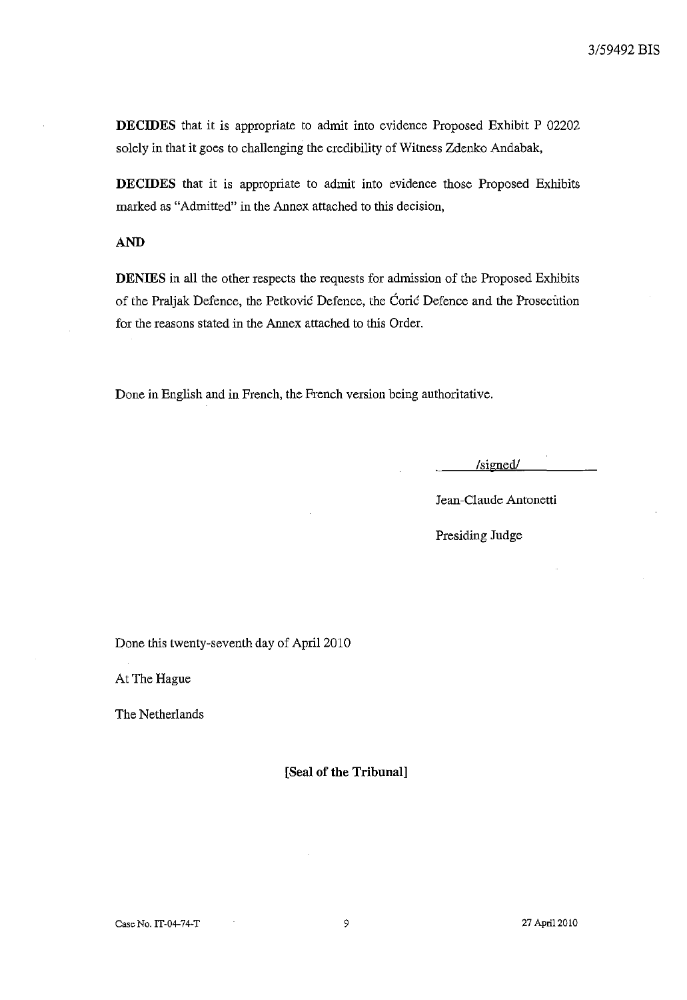DECIDES that it is appropriate to admit into evidence Proposed Exhibit P 02202 solely in that it goes to challenging the credibility of Witness Zdenko Andabak,

DECIDES that it is appropriate to admit into evidence those Proposed Exhibits marked as "Admitted" in the Annex attached to this decision,

# AND

DENIES in all the other respects the requests for admission of the Proposed Exhibits of the Praljak Defence, the Petkovie Defence, the Corie Defence and the Prosecution for the reasons stated in the Annex attached to this Order.

Done in English and in French, the French version being authoritative.

*/signedl* 

Jeau-Claude Antonetti

Presiding Judge

Done this twenty-seventh day of April 2010

At The Hague

The Netherlands

[Seal of the Tribunal]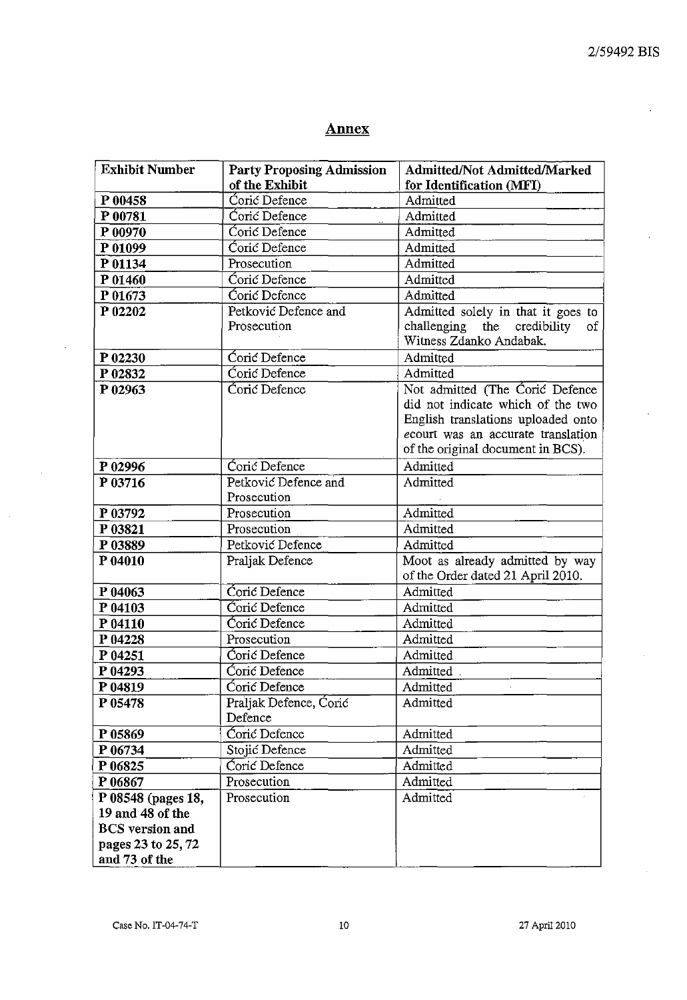# Annex

| <b>Exhibit Number</b>               | <b>Party Proposing Admission</b>    | Admitted/Not Admitted/Marked                                                                                                                                                          |
|-------------------------------------|-------------------------------------|---------------------------------------------------------------------------------------------------------------------------------------------------------------------------------------|
|                                     | of the Exhibit                      | for Identification (MFI)                                                                                                                                                              |
| P 00458                             | Ćorić Defence                       | Admitted                                                                                                                                                                              |
| P 00781                             | Coric Defence                       | Admitted                                                                                                                                                                              |
| P 00970                             | Ćorić Defence                       | Admitted                                                                                                                                                                              |
| P 01099                             | Coric Defence                       | Admitted                                                                                                                                                                              |
| P 01134                             | Prosecution                         | Admitted                                                                                                                                                                              |
| P 01460                             | Coric Defence                       | Admitted                                                                                                                                                                              |
| P 01673                             | Coric Defence                       | Admitted                                                                                                                                                                              |
| P 02202                             | Petković Defence and<br>Prosecution | Admitted solely in that it goes to<br>challenging the credibility<br>οf<br>Witness Zdanko Andabak.                                                                                    |
| P 02230                             | Coric Defence                       | Admitted                                                                                                                                                                              |
| P 02832                             | Coric Defence                       | Admitted                                                                                                                                                                              |
| P 02963                             | Coric Defence                       | Not admitted (The Coric Defence<br>did not indicate which of the two<br>English translations uploaded onto<br>ecourt was an accurate translation<br>of the original document in BCS). |
| P 02996                             | Coric Defence                       | Admitted                                                                                                                                                                              |
| P 03716                             | Petković Defence and<br>Prosecution | Admitted                                                                                                                                                                              |
| P 03792                             | Prosecution                         | Admitted                                                                                                                                                                              |
| P 03821                             | Prosecution                         | Admitted                                                                                                                                                                              |
| P 03889                             | Petković Defence                    | Admitted                                                                                                                                                                              |
| P 04010                             | Praljak Defence                     | Moot as already admitted by way<br>of the Order dated 21 April 2010.                                                                                                                  |
| P 04063                             | Coric Defence                       | Admitted                                                                                                                                                                              |
| P 04103                             | Coric Defence                       | Admitted                                                                                                                                                                              |
| P 04110                             | Coric Defence                       | Admitted                                                                                                                                                                              |
| P 04228                             | Prosecution                         | Admitted                                                                                                                                                                              |
| P 04251                             | Coric Defence                       | Admitted                                                                                                                                                                              |
| P 04293                             | Coric Defence                       | Admitted                                                                                                                                                                              |
| P 04819                             | Ćorić Defence                       | Admitted                                                                                                                                                                              |
| P 05478                             | Praljak Defence, Coric<br>Defence   | Admitted                                                                                                                                                                              |
| P 05869                             | Coric Defence                       | Admitted                                                                                                                                                                              |
| P 06734                             | Stojić Defence                      | Admitted                                                                                                                                                                              |
| P 06825                             | Coric Defence                       | Admitted                                                                                                                                                                              |
| P 06867                             | Prosecution                         | Admitted                                                                                                                                                                              |
| P 08548 (pages 18,                  | Prosecution                         | Admitted                                                                                                                                                                              |
| 19 and 48 of the                    |                                     |                                                                                                                                                                                       |
| <b>BCS</b> version and              |                                     |                                                                                                                                                                                       |
| pages 23 to 25, 72<br>and 73 of the |                                     |                                                                                                                                                                                       |

 $\bar{a}$ 

 $\bar{\gamma}$